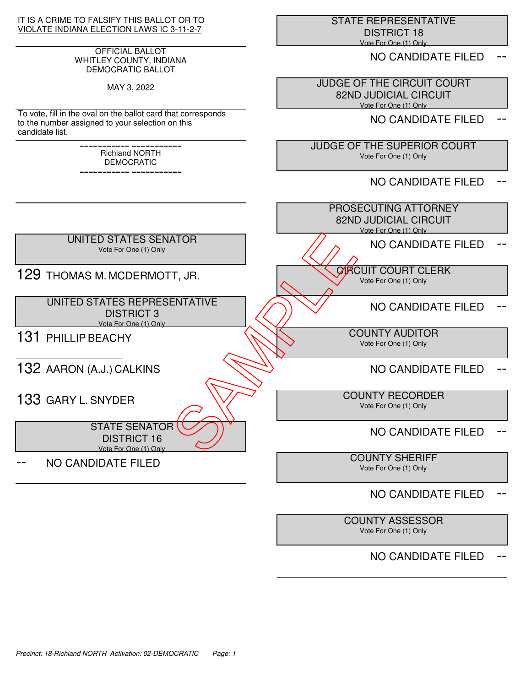## IT IS A CRIME TO FALSIFY THIS BALLOT OR TO VIOLATE INDIANA ELECTION LAWS IC 3-11-2-7

## OFFICIAL BALLOT WHITLEY COUNTY, INDIANA DEMOCRATIC BALLOT

MAY 3, 2022

To vote, fill in the oval on the ballot card that corresponds to the number assigned to your selection on this candidate list.

> =========== =========== Richland NORTH DEMOCRATIC

=========== ===========

 STATE REPRESENTATIVE DISTRICT 18 Vote For One (1) Only

NO CANDIDATE FILED

 JUDGE OF THE CIRCUIT COURT 82ND JUDICIAL CIRCUIT Vote For One (1) Only

NO CANDIDATE FILED

 JUDGE OF THE SUPERIOR COURT Vote For One (1) Only

NO CANDIDATE FILED



# NO CANDIDATE FILED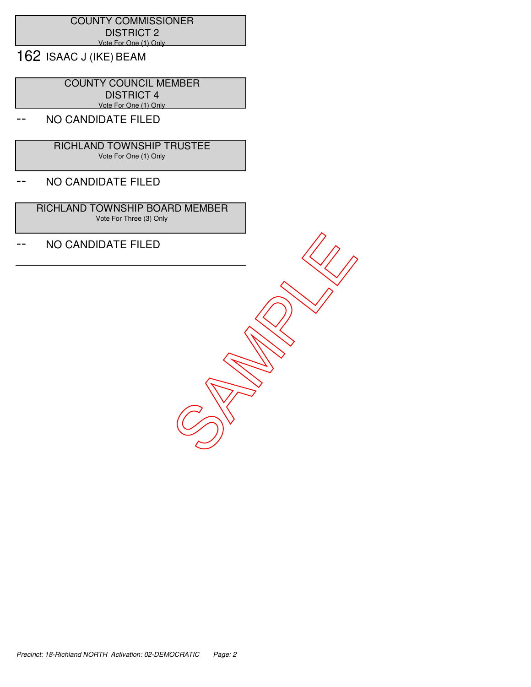## COUNTY COMMISSIONER DISTRICT 2 Vote For One (1) Only

162 ISAAC J (IKE) BEAM

 COUNTY COUNCIL MEMBER DISTRICT 4 Vote For One (1) Only

# NO CANDIDATE FILED

 RICHLAND TOWNSHIP TRUSTEE Vote For One (1) Only

## -- NO CANDIDATE FILED

 RICHLAND TOWNSHIP BOARD MEMBER Vote For Three (3) Only

-- NO CANDIDATE FILED